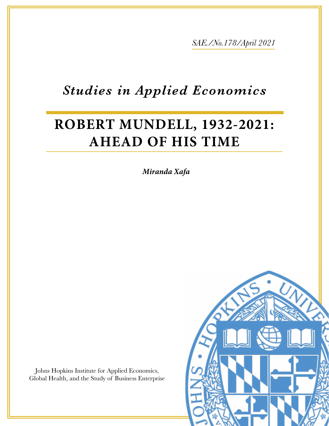*SAE./No.178/April 2021*

# *Studies in Applied Economics*

# **ROBERT MUNDELL, 1932-2021: AHEAD OF HIS TIME**

*Miranda Xafa* 

Johns Hopkins Institute for Applied Economics, Global Health, and the Study of Business Enterprise

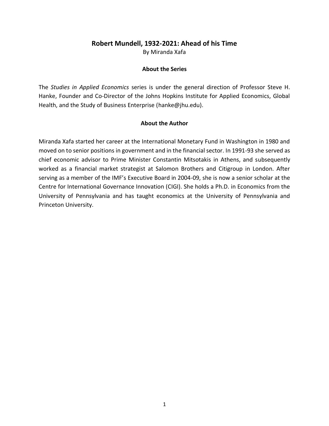## **Robert Mundell, 1932-2021: Ahead of his Time**

By Miranda Xafa

#### **About the Series**

The *Studies in Applied Economics* series is under the general direction of Professor Steve H. Hanke, Founder and Co-Director of the Johns Hopkins Institute for Applied Economics, Global Health, and the Study of Business Enterprise [\(hanke@jhu.edu\)](mailto:hanke@jhu.edu).

#### **About the Author**

Miranda Xafa started her career at the International Monetary Fund in Washington in 1980 and moved on to senior positions in government and in the financial sector. In 1991-93 she served as chief economic advisor to Prime Minister Constantin Mitsotakis in Athens, and subsequently worked as a financial market strategist at Salomon Brothers and Citigroup in London. After serving as a member of the IMF's Executive Board in 2004-09, she is now a senior scholar at the Centre for International Governance Innovation (CIGI). She holds a Ph.D. in Economics from the University of Pennsylvania and has taught economics at the University of Pennsylvania and Princeton University.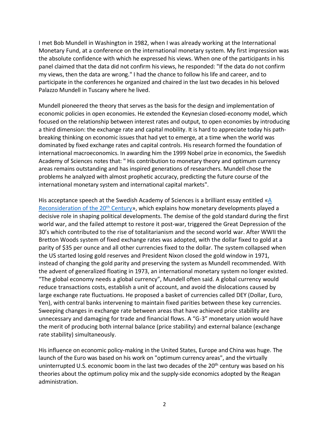I met Bob Mundell in Washington in 1982, when I was already working at the International Monetary Fund, at a conference on the international monetary system. My first impression was the absolute confidence with which he expressed his views. When one of the participants in his panel claimed that the data did not confirm his views, he responded: "If the data do not confirm my views, then the data are wrong." I had the chance to follow his life and career, and to participate in the conferences he organized and chaired in the last two decades in his beloved Palazzo Mundell in Tuscany where he lived.

Mundell pioneered the theory that serves as the basis for the design and implementation of economic policies in open economies. He extended the Keynesian closed-economy model, which focused on the relationship between interest rates and output, to open economies by introducing a third dimension: the exchange rate and capital mobility. It is hard to appreciate today his pathbreaking thinking on economic issues that had yet to emerge, at a time when the world was dominated by fixed exchange rates and capital controls. His research formed the foundation of international macroeconomics. In awarding him the 1999 Nobel prize in economics, the Swedish Academy of Sciences notes that: " His contribution to monetary theory and optimum currency areas remains outstanding and has inspired generations of researchers. Mundell chose the problems he analyzed with almost prophetic accuracy, predicting the future course of the international monetary system and international capital markets".

His acceptance speech at the Swedish Academy of Sciences is a brilliant essay entitled [«A](http://www.columbia.edu/~ram15/nobelLecture.html)  [Reconsideration of the 20](http://www.columbia.edu/~ram15/nobelLecture.html)<sup>th</sup> Century», which explains how monetary developments played a decisive role in shaping political developments. The demise of the gold standard during the first world war, and the failed attempt to restore it post-war, triggered the Great Depression of the 30's which contributed to the rise of totalitarianism and the second world war. After WWII the Bretton Woods system of fixed exchange rates was adopted, with the dollar fixed to gold at a parity of \$35 per ounce and all other currencies fixed to the dollar. The system collapsed when the US started losing gold reserves and President Nixon closed the gold window in 1971, instead of changing the gold parity and preserving the system as Mundell recommended. With the advent of generalized floating in 1973, an international monetary system no longer existed. "The global economy needs a global currency", Mundell often said. A global currency would reduce transactions costs, establish a unit of account, and avoid the dislocations caused by large exchange rate fluctuations. He proposed a basket of currencies called DEY (Dollar, Euro, Yen), with central banks intervening to maintain fixed parities between these key currencies. Sweeping changes in exchange rate between areas that have achieved price stability are unnecessary and damaging for trade and financial flows. A "G-3" monetary union would have the merit of producing both internal balance (price stability) and external balance (exchange rate stability) simultaneously.

His influence on economic policy-making in the United States, Europe and China was huge. The launch of the Euro was based on his work on "optimum currency areas", and the virtually uninterrupted U.S. economic boom in the last two decades of the 20<sup>th</sup> century was based on his theories about the optimum policy mix and the supply-side economics adopted by the Reagan administration.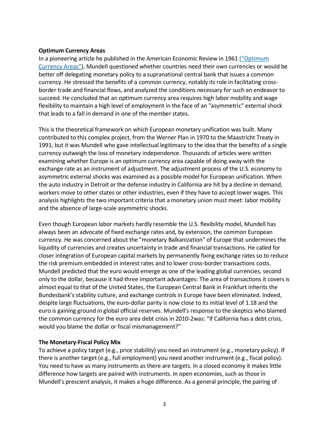#### **Optimum Currency Areas**

In a pioneering article he published in the American Economic Review in 1961 [\("Optimum](https://www.jstor.org/stable/1812792?seq=1)  [Currency Areas"](https://www.jstor.org/stable/1812792?seq=1)), Mundell questioned whether countries need their own currencies or would be better off delegating monetary policy to a supranational central bank that issues a common currency. He stressed the benefits of a common currency, notably its role in facilitating crossborder trade and financial flows, and analyzed the conditions necessary for such an endeavor to succeed. He concluded that an optimum currency area requires high labor mobility and wage flexibility to maintain a high level of employment in the face of an "asymmetric" external shock that leads to a fall in demand in one of the member states.

This is the theoretical framework on which European monetary unification was built. Many contributed to this complex project, from the Werner Plan in 1970 to the Maastricht Treaty in 1991, but it was Mundell who gave intellectual legitimacy to the idea that the benefits of a single currency outweigh the loss of monetary independence. Thousands of articles were written examining whether Europe is an optimum currency area capable of doing away with the exchange rate as an instrument of adjustment. The adjustment process of the U.S. economy to asymmetric external shocks was examined as a possible model for European unification. When the auto industry in Detroit or the defense industry in California are hit by a decline in demand, workers move to other states or other industries, even if they have to accept lower wages. This analysis highlights the two important criteria that a monetary union must meet: labor mobility and the absence of large-scale asymmetric shocks.

Even though European labor markets hardly resemble the U.S. flexibility model, Mundell has always been an advocate of fixed exchange rates and, by extension, the common European currency. He was concerned about the "monetary Balkanization" of Europe that undermines the liquidity of currencies and creates uncertainty in trade and financial transactions. He called for closer integration of European capital markets by permanently fixing exchange rates so to reduce the risk premium embedded in interest rates and to lower cross-border transactions costs. Mundell predicted that the euro would emerge as one of the leading global currencies, second only to the dollar, because it had three important advantages: The area of transactions it covers is almost equal to that of the United States, the European Central Bank in Frankfurt inherits the Bundesbank's stability culture, and exchange controls in Europe have been eliminated. Indeed, despite large fluctuations, the euro-dollar parity is now close to its initial level of 1.18 and the euro is gaining ground in global official reserves. Mundell's response to the skeptics who blamed the common currency for the euro area debt crisis in 2010-2was: "If California has a debt crisis, would you blame the dollar or fiscal mismanagement?"

#### **The Monetary-Fiscal Policy Mix**

To achieve a policy target (e.g., price stability) you need an instrument (e.g., monetary policy). If there is another target (e.g., full employment) you need another instrument (e.g., fiscal policy). You need to have as many instruments as there are targets. In a closed economy it makes little difference how targets are paired with instruments. In open economies, such as those in Mundell's prescient analysis, it makes a huge difference. As a general principle, the pairing of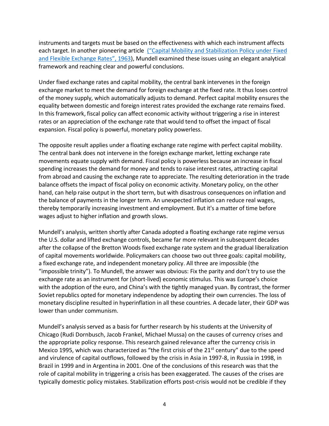instruments and targets must be based on the effectiveness with which each instrument affects each target. In another pioneering article [\("Capital Mobility and Stabilization Policy under](https://www.jstor.org/stable/139336?seq=1) Fixed [and Flexible Exchange Rates", 1963](https://www.jstor.org/stable/139336?seq=1)), Mundell examined these issues using an elegant analytical framework and reaching clear and powerful conclusions.

Under fixed exchange rates and capital mobility, the central bank intervenes in the foreign exchange market to meet the demand for foreign exchange at the fixed rate. It thus loses control of the money supply, which automatically adjusts to demand. Perfect capital mobility ensures the equality between domestic and foreign interest rates provided the exchange rate remains fixed. In this framework, fiscal policy can affect economic activity without triggering a rise in interest rates or an appreciation of the exchange rate that would tend to offset the impact of fiscal expansion. Fiscal policy is powerful, monetary policy powerless.

The opposite result applies under a floating exchange rate regime with perfect capital mobility. The central bank does not intervene in the foreign exchange market, letting exchange rate movements equate supply with demand. Fiscal policy is powerless because an increase in fiscal spending increases the demand for money and tends to raise interest rates, attracting capital from abroad and causing the exchange rate to appreciate. The resulting deterioration in the trade balance offsets the impact of fiscal policy on economic activity. Monetary policy, on the other hand, can help raise output in the short term, but with disastrous consequences on inflation and the balance of payments in the longer term. An unexpected inflation can reduce real wages, thereby temporarily increasing investment and employment. But it's a matter of time before wages adjust to higher inflation and growth slows.

Mundell's analysis, written shortly after Canada adopted a floating exchange rate regime versus the U.S. dollar and lifted exchange controls, became far more relevant in subsequent decades after the collapse of the Bretton Woods fixed exchange rate system and the gradual liberalization of capital movements worldwide. Policymakers can choose two out three goals: capital mobility, a fixed exchange rate, and independent monetary policy. All three are impossible (the "impossible trinity"). To Mundell, the answer was obvious: Fix the parity and don't try to use the exchange rate as an instrument for (short-lived) economic stimulus. This was Europe's choice with the adoption of the euro, and China's with the tightly managed yuan. By contrast, the former Soviet republics opted for monetary independence by adopting their own currencies. The loss of monetary discipline resulted in hyperinflation in all these countries. A decade later, their GDP was lower than under communism.

Mundell's analysis served as a basis for further research by his students at the University of Chicago (Rudi Dornbusch, Jacob Frankel, Michael Mussa) on the causes of currency crises and the appropriate policy response. This research gained relevance after the currency crisis in Mexico 1995, which was characterized as "the first crisis of the  $21<sup>st</sup>$  century" due to the speed and virulence of capital outflows, followed by the crisis in Asia in 1997-8, in Russia in 1998, in Brazil in 1999 and in Argentina in 2001. One of the conclusions of this research was that the role of capital mobility in triggering a crisis has been exaggerated. The causes of the crises are typically domestic policy mistakes. Stabilization efforts post-crisis would not be credible if they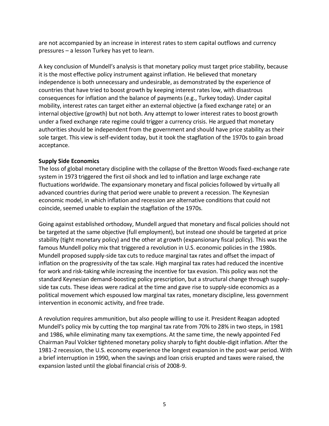are not accompanied by an increase in interest rates to stem capital outflows and currency pressures – a lesson Turkey has yet to learn.

A key conclusion of Mundell's analysis is that monetary policy must target price stability, because it is the most effective policy instrument against inflation. He believed that monetary independence is both unnecessary and undesirable, as demonstrated by the experience of countries that have tried to boost growth by keeping interest rates low, with disastrous consequences for inflation and the balance of payments (e.g., Turkey today). Under capital mobility, interest rates can target either an external objective (a fixed exchange rate) or an internal objective (growth) but not both. Any attempt to lower interest rates to boost growth under a fixed exchange rate regime could trigger a currency crisis. He argued that monetary authorities should be independent from the government and should have price stability as their sole target. This view is self-evident today, but it took the stagflation of the 1970s to gain broad acceptance.

## **Supply Side Economics**

The loss of global monetary discipline with the collapse of the Bretton Woods fixed-exchange rate system in 1973 triggered the first oil shock and led to inflation and large exchange rate fluctuations worldwide. The expansionary monetary and fiscal policies followed by virtually all advanced countries during that period were unable to prevent a recession. The Keynesian economic model, in which inflation and recession are alternative conditions that could not coincide, seemed unable to explain the stagflation of the 1970s.

Going against established orthodoxy, Mundell argued that monetary and fiscal policies should not be targeted at the same objective (full employment), but instead one should be targeted at price stability (tight monetary policy) and the other at growth (expansionary fiscal policy). This was the famous Mundell policy mix that triggered a revolution in U.S. economic policies in the 1980s. Mundell proposed supply-side tax cuts to reduce marginal tax rates and offset the impact of inflation on the progressivity of the tax scale. High marginal tax rates had reduced the incentive for work and risk-taking while increasing the incentive for tax evasion. This policy was not the standard Keynesian demand-boosting policy prescription, but a structural change through supplyside tax cuts. These ideas were radical at the time and gave rise to supply-side economics as a political movement which espoused low marginal tax rates, monetary discipline, less government intervention in economic activity, and free trade.

A revolution requires ammunition, but also people willing to use it. President Reagan adopted Mundell's policy mix by cutting the top marginal tax rate from 70% to 28% in two steps, in 1981 and 1986, while eliminating many tax exemptions. At the same time, the newly appointed Fed Chairman Paul Volcker tightened monetary policy sharply to fight double-digit inflation. After the 1981-2 recession, the U.S. economy experience the longest expansion in the post-war period. With a brief interruption in 1990, when the savings and loan crisis erupted and taxes were raised, the expansion lasted until the global financial crisis of 2008-9.